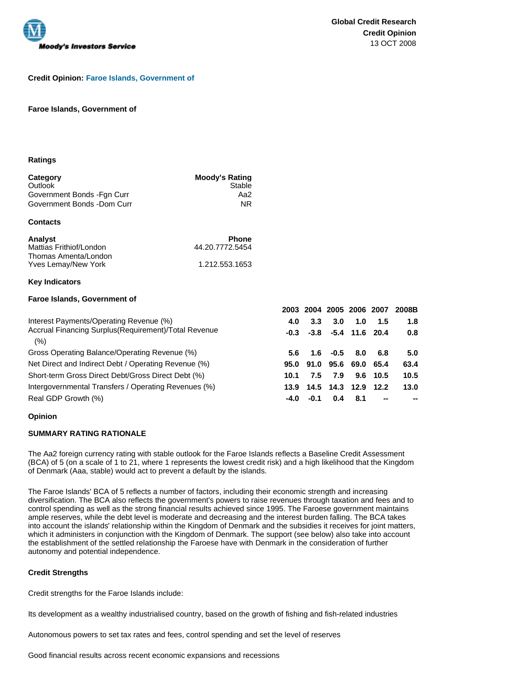

## **Credit Opinion: Faroe Islands, Government of**

#### **Faroe Islands, Government of**

#### **Ratings**

| Category                    | <b>Moody's Rating</b> |
|-----------------------------|-----------------------|
| Outlook                     | Stable                |
| Government Bonds - Fan Curr | Aa2                   |
| Government Bonds -Dom Curr  | ΝR                    |

#### **Contacts**

| Analyst                 | <b>Phone</b>    |
|-------------------------|-----------------|
| Mattias Frithiof/London | 44.20.7772.5454 |
| Thomas Amenta/London    |                 |
| Yves Lemay/New York     | 1.212.553.1653  |

### **Key Indicators**

#### **Faroe Islands, Government of**

|                                                              | 2003          |           |        | 2004 2005 2006 2007     |            | 2008B |
|--------------------------------------------------------------|---------------|-----------|--------|-------------------------|------------|-------|
| Interest Payments/Operating Revenue (%)                      | 4.0           | 3.3       | 3.0    | 1.0                     | 1.5        | 1.8   |
| Accrual Financing Surplus (Requirement)/Total Revenue<br>(%) | $-0.3$        |           |        | $-3.8$ $-5.4$ 11.6 20.4 |            | 0.8   |
| Gross Operating Balance/Operating Revenue (%)                | $5.6^{\circ}$ | 1.6       | $-0.5$ | 8.0                     | 6.8        | 5.0   |
| Net Direct and Indirect Debt / Operating Revenue (%)         |               | 95.0 91.0 |        | 95.6 69.0 65.4          |            | 63.4  |
| Short-term Gross Direct Debt/Gross Direct Debt (%)           | 10.1          | 7.5       | 7.9    |                         | $9.6$ 10.5 | 10.5  |
| Intergovernmental Transfers / Operating Revenues (%)         | 13.9          | 14.5      |        | 14.3 12.9               | 12.2       | 13.0  |
| Real GDP Growth (%)                                          | -4.0          | $-0.1$    | 0.4    | 8.1                     | --         |       |

### **Opinion**

## **SUMMARY RATING RATIONALE**

The Aa2 foreign currency rating with stable outlook for the Faroe Islands reflects a Baseline Credit Assessment (BCA) of 5 (on a scale of 1 to 21, where 1 represents the lowest credit risk) and a high likelihood that the Kingdom of Denmark (Aaa, stable) would act to prevent a default by the islands.

The Faroe Islands' BCA of 5 reflects a number of factors, including their economic strength and increasing diversification. The BCA also reflects the government's powers to raise revenues through taxation and fees and to control spending as well as the strong financial results achieved since 1995. The Faroese government maintains ample reserves, while the debt level is moderate and decreasing and the interest burden falling. The BCA takes into account the islands' relationship within the Kingdom of Denmark and the subsidies it receives for joint matters, which it administers in conjunction with the Kingdom of Denmark. The support (see below) also take into account the establishment of the settled relationship the Faroese have with Denmark in the consideration of further autonomy and potential independence.

### **Credit Strengths**

Credit strengths for the Faroe Islands include:

Its development as a wealthy industrialised country, based on the growth of fishing and fish-related industries

Autonomous powers to set tax rates and fees, control spending and set the level of reserves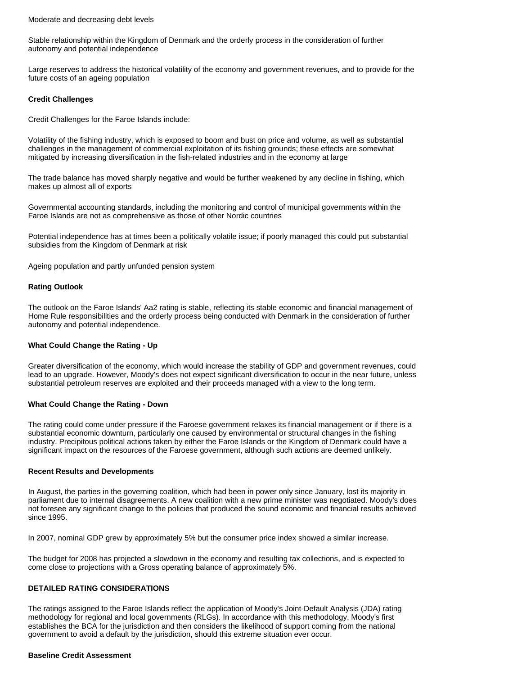#### Moderate and decreasing debt levels

Stable relationship within the Kingdom of Denmark and the orderly process in the consideration of further autonomy and potential independence

Large reserves to address the historical volatility of the economy and government revenues, and to provide for the future costs of an ageing population

#### **Credit Challenges**

Credit Challenges for the Faroe Islands include:

Volatility of the fishing industry, which is exposed to boom and bust on price and volume, as well as substantial challenges in the management of commercial exploitation of its fishing grounds; these effects are somewhat mitigated by increasing diversification in the fish-related industries and in the economy at large

The trade balance has moved sharply negative and would be further weakened by any decline in fishing, which makes up almost all of exports

Governmental accounting standards, including the monitoring and control of municipal governments within the Faroe Islands are not as comprehensive as those of other Nordic countries

Potential independence has at times been a politically volatile issue; if poorly managed this could put substantial subsidies from the Kingdom of Denmark at risk

Ageing population and partly unfunded pension system

### **Rating Outlook**

The outlook on the Faroe Islands' Aa2 rating is stable, reflecting its stable economic and financial management of Home Rule responsibilities and the orderly process being conducted with Denmark in the consideration of further autonomy and potential independence.

## **What Could Change the Rating - Up**

Greater diversification of the economy, which would increase the stability of GDP and government revenues, could lead to an upgrade. However, Moody's does not expect significant diversification to occur in the near future, unless substantial petroleum reserves are exploited and their proceeds managed with a view to the long term.

### **What Could Change the Rating - Down**

The rating could come under pressure if the Faroese government relaxes its financial management or if there is a substantial economic downturn, particularly one caused by environmental or structural changes in the fishing industry. Precipitous political actions taken by either the Faroe Islands or the Kingdom of Denmark could have a significant impact on the resources of the Faroese government, although such actions are deemed unlikely.

### **Recent Results and Developments**

In August, the parties in the governing coalition, which had been in power only since January, lost its majority in parliament due to internal disagreements. A new coalition with a new prime minister was negotiated. Moody's does not foresee any significant change to the policies that produced the sound economic and financial results achieved since 1995.

In 2007, nominal GDP grew by approximately 5% but the consumer price index showed a similar increase.

The budget for 2008 has projected a slowdown in the economy and resulting tax collections, and is expected to come close to projections with a Gross operating balance of approximately 5%.

## **DETAILED RATING CONSIDERATIONS**

The ratings assigned to the Faroe Islands reflect the application of Moody's Joint-Default Analysis (JDA) rating methodology for regional and local governments (RLGs). In accordance with this methodology, Moody's first establishes the BCA for the jurisdiction and then considers the likelihood of support coming from the national government to avoid a default by the jurisdiction, should this extreme situation ever occur.

### **Baseline Credit Assessment**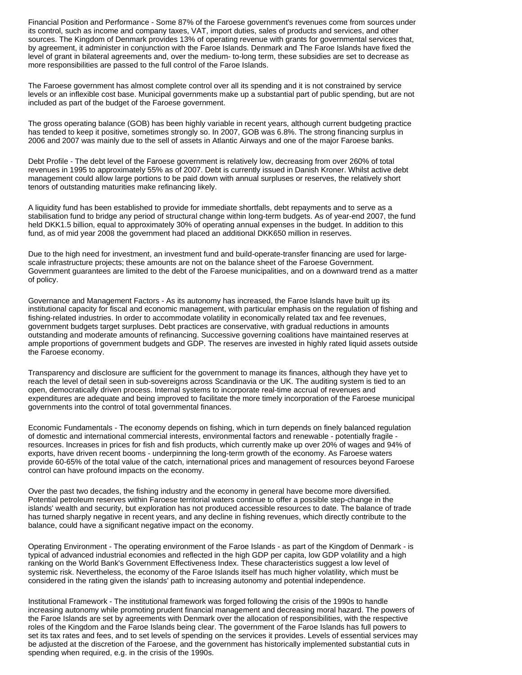Financial Position and Performance - Some 87% of the Faroese government's revenues come from sources under its control, such as income and company taxes, VAT, import duties, sales of products and services, and other sources. The Kingdom of Denmark provides 13% of operating revenue with grants for governmental services that, by agreement, it administer in conjunction with the Faroe Islands. Denmark and The Faroe Islands have fixed the level of grant in bilateral agreements and, over the medium- to-long term, these subsidies are set to decrease as more responsibilities are passed to the full control of the Faroe Islands.

The Faroese government has almost complete control over all its spending and it is not constrained by service levels or an inflexible cost base. Municipal governments make up a substantial part of public spending, but are not included as part of the budget of the Faroese government.

The gross operating balance (GOB) has been highly variable in recent years, although current budgeting practice has tended to keep it positive, sometimes strongly so. In 2007, GOB was 6.8%. The strong financing surplus in 2006 and 2007 was mainly due to the sell of assets in Atlantic Airways and one of the major Faroese banks.

Debt Profile - The debt level of the Faroese government is relatively low, decreasing from over 260% of total revenues in 1995 to approximately 55% as of 2007. Debt is currently issued in Danish Kroner. Whilst active debt management could allow large portions to be paid down with annual surpluses or reserves, the relatively short tenors of outstanding maturities make refinancing likely.

A liquidity fund has been established to provide for immediate shortfalls, debt repayments and to serve as a stabilisation fund to bridge any period of structural change within long-term budgets. As of year-end 2007, the fund held DKK1.5 billion, equal to approximately 30% of operating annual expenses in the budget. In addition to this fund, as of mid year 2008 the government had placed an additional DKK650 million in reserves.

Due to the high need for investment, an investment fund and build-operate-transfer financing are used for largescale infrastructure projects; these amounts are not on the balance sheet of the Faroese Government. Government guarantees are limited to the debt of the Faroese municipalities, and on a downward trend as a matter of policy.

Governance and Management Factors - As its autonomy has increased, the Faroe Islands have built up its institutional capacity for fiscal and economic management, with particular emphasis on the regulation of fishing and fishing-related industries. In order to accommodate volatility in economically related tax and fee revenues, government budgets target surpluses. Debt practices are conservative, with gradual reductions in amounts outstanding and moderate amounts of refinancing. Successive governing coalitions have maintained reserves at ample proportions of government budgets and GDP. The reserves are invested in highly rated liquid assets outside the Faroese economy.

Transparency and disclosure are sufficient for the government to manage its finances, although they have yet to reach the level of detail seen in sub-sovereigns across Scandinavia or the UK. The auditing system is tied to an open, democratically driven process. Internal systems to incorporate real-time accrual of revenues and expenditures are adequate and being improved to facilitate the more timely incorporation of the Faroese municipal governments into the control of total governmental finances.

Economic Fundamentals - The economy depends on fishing, which in turn depends on finely balanced regulation of domestic and international commercial interests, environmental factors and renewable - potentially fragile resources. Increases in prices for fish and fish products, which currently make up over 20% of wages and 94% of exports, have driven recent booms - underpinning the long-term growth of the economy. As Faroese waters provide 60-65% of the total value of the catch, international prices and management of resources beyond Faroese control can have profound impacts on the economy.

Over the past two decades, the fishing industry and the economy in general have become more diversified. Potential petroleum reserves within Faroese territorial waters continue to offer a possible step-change in the islands' wealth and security, but exploration has not produced accessible resources to date. The balance of trade has turned sharply negative in recent years, and any decline in fishing revenues, which directly contribute to the balance, could have a significant negative impact on the economy.

Operating Environment - The operating environment of the Faroe Islands - as part of the Kingdom of Denmark - is typical of advanced industrial economies and reflected in the high GDP per capita, low GDP volatility and a high ranking on the World Bank's Government Effectiveness Index. These characteristics suggest a low level of systemic risk. Nevertheless, the economy of the Faroe Islands itself has much higher volatility, which must be considered in the rating given the islands' path to increasing autonomy and potential independence.

Institutional Framework - The institutional framework was forged following the crisis of the 1990s to handle increasing autonomy while promoting prudent financial management and decreasing moral hazard. The powers of the Faroe Islands are set by agreements with Denmark over the allocation of responsibilities, with the respective roles of the Kingdom and the Faroe Islands being clear. The government of the Faroe Islands has full powers to set its tax rates and fees, and to set levels of spending on the services it provides. Levels of essential services may be adjusted at the discretion of the Faroese, and the government has historically implemented substantial cuts in spending when required, e.g. in the crisis of the 1990s.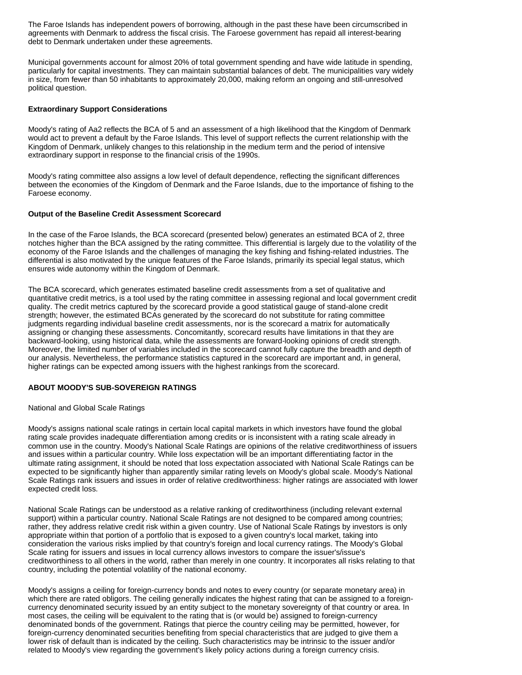The Faroe Islands has independent powers of borrowing, although in the past these have been circumscribed in agreements with Denmark to address the fiscal crisis. The Faroese government has repaid all interest-bearing debt to Denmark undertaken under these agreements.

Municipal governments account for almost 20% of total government spending and have wide latitude in spending, particularly for capital investments. They can maintain substantial balances of debt. The municipalities vary widely in size, from fewer than 50 inhabitants to approximately 20,000, making reform an ongoing and still-unresolved political question.

## **Extraordinary Support Considerations**

Moody's rating of Aa2 reflects the BCA of 5 and an assessment of a high likelihood that the Kingdom of Denmark would act to prevent a default by the Faroe Islands. This level of support reflects the current relationship with the Kingdom of Denmark, unlikely changes to this relationship in the medium term and the period of intensive extraordinary support in response to the financial crisis of the 1990s.

Moody's rating committee also assigns a low level of default dependence, reflecting the significant differences between the economies of the Kingdom of Denmark and the Faroe Islands, due to the importance of fishing to the Faroese economy.

## **Output of the Baseline Credit Assessment Scorecard**

In the case of the Faroe Islands, the BCA scorecard (presented below) generates an estimated BCA of 2, three notches higher than the BCA assigned by the rating committee. This differential is largely due to the volatility of the economy of the Faroe Islands and the challenges of managing the key fishing and fishing-related industries. The differential is also motivated by the unique features of the Faroe Islands, primarily its special legal status, which ensures wide autonomy within the Kingdom of Denmark.

The BCA scorecard, which generates estimated baseline credit assessments from a set of qualitative and quantitative credit metrics, is a tool used by the rating committee in assessing regional and local government credit quality. The credit metrics captured by the scorecard provide a good statistical gauge of stand-alone credit strength; however, the estimated BCAs generated by the scorecard do not substitute for rating committee judgments regarding individual baseline credit assessments, nor is the scorecard a matrix for automatically assigning or changing these assessments. Concomitantly, scorecard results have limitations in that they are backward-looking, using historical data, while the assessments are forward-looking opinions of credit strength. Moreover, the limited number of variables included in the scorecard cannot fully capture the breadth and depth of our analysis. Nevertheless, the performance statistics captured in the scorecard are important and, in general, higher ratings can be expected among issuers with the highest rankings from the scorecard.

# **ABOUT MOODY'S SUB-SOVEREIGN RATINGS**

### National and Global Scale Ratings

Moody's assigns national scale ratings in certain local capital markets in which investors have found the global rating scale provides inadequate differentiation among credits or is inconsistent with a rating scale already in common use in the country. Moody's National Scale Ratings are opinions of the relative creditworthiness of issuers and issues within a particular country. While loss expectation will be an important differentiating factor in the ultimate rating assignment, it should be noted that loss expectation associated with National Scale Ratings can be expected to be significantly higher than apparently similar rating levels on Moody's global scale. Moody's National Scale Ratings rank issuers and issues in order of relative creditworthiness: higher ratings are associated with lower expected credit loss.

National Scale Ratings can be understood as a relative ranking of creditworthiness (including relevant external support) within a particular country. National Scale Ratings are not designed to be compared among countries; rather, they address relative credit risk within a given country. Use of National Scale Ratings by investors is only appropriate within that portion of a portfolio that is exposed to a given country's local market, taking into consideration the various risks implied by that country's foreign and local currency ratings. The Moody's Global Scale rating for issuers and issues in local currency allows investors to compare the issuer's/issue's creditworthiness to all others in the world, rather than merely in one country. It incorporates all risks relating to that country, including the potential volatility of the national economy.

Moody's assigns a ceiling for foreign-currency bonds and notes to every country (or separate monetary area) in which there are rated obligors. The ceiling generally indicates the highest rating that can be assigned to a foreigncurrency denominated security issued by an entity subject to the monetary sovereignty of that country or area. In most cases, the ceiling will be equivalent to the rating that is (or would be) assigned to foreign-currency denominated bonds of the government. Ratings that pierce the country ceiling may be permitted, however, for foreign-currency denominated securities benefiting from special characteristics that are judged to give them a lower risk of default than is indicated by the ceiling. Such characteristics may be intrinsic to the issuer and/or related to Moody's view regarding the government's likely policy actions during a foreign currency crisis.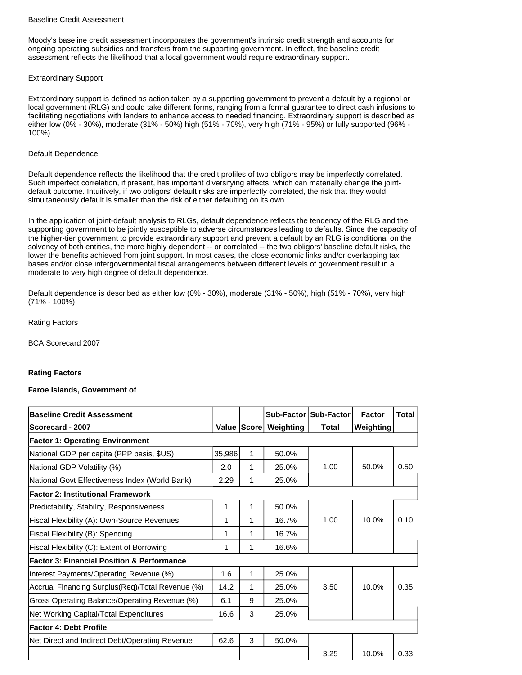### Baseline Credit Assessment

Moody's baseline credit assessment incorporates the government's intrinsic credit strength and accounts for ongoing operating subsidies and transfers from the supporting government. In effect, the baseline credit assessment reflects the likelihood that a local government would require extraordinary support.

## Extraordinary Support

Extraordinary support is defined as action taken by a supporting government to prevent a default by a regional or local government (RLG) and could take different forms, ranging from a formal guarantee to direct cash infusions to facilitating negotiations with lenders to enhance access to needed financing. Extraordinary support is described as either low (0% - 30%), moderate (31% - 50%) high (51% - 70%), very high (71% - 95%) or fully supported (96% - 100%).

# Default Dependence

Default dependence reflects the likelihood that the credit profiles of two obligors may be imperfectly correlated. Such imperfect correlation, if present, has important diversifying effects, which can materially change the jointdefault outcome. Intuitively, if two obligors' default risks are imperfectly correlated, the risk that they would simultaneously default is smaller than the risk of either defaulting on its own.

In the application of joint-default analysis to RLGs, default dependence reflects the tendency of the RLG and the supporting government to be jointly susceptible to adverse circumstances leading to defaults. Since the capacity of the higher-tier government to provide extraordinary support and prevent a default by an RLG is conditional on the solvency of both entities, the more highly dependent -- or correlated -- the two obligors' baseline default risks, the lower the benefits achieved from joint support. In most cases, the close economic links and/or overlapping tax bases and/or close intergovernmental fiscal arrangements between different levels of government result in a moderate to very high degree of default dependence.

Default dependence is described as either low (0% - 30%), moderate (31% - 50%), high (51% - 70%), very high (71% - 100%).

# Rating Factors

BCA Scorecard 2007

# **Rating Factors**

# **Faroe Islands, Government of**

| <b>Baseline Credit Assessment</b>                     |        |   |                       | Sub-Factor   Sub-Factor | <b>Factor</b>    | <b>Total</b> |
|-------------------------------------------------------|--------|---|-----------------------|-------------------------|------------------|--------------|
| <b>Scorecard - 2007</b>                               |        |   | Value Score Weighting | Total                   | <b>Weighting</b> |              |
| <b>Factor 1: Operating Environment</b>                |        |   |                       |                         |                  |              |
| National GDP per capita (PPP basis, \$US)             | 35,986 | 1 | 50.0%                 |                         |                  |              |
| National GDP Volatility (%)                           | 2.0    | 1 | 25.0%                 | 1.00                    | 50.0%            | 0.50         |
| National Govt Effectiveness Index (World Bank)        | 2.29   | 1 | 25.0%                 |                         |                  |              |
| Factor 2: Institutional Framework                     |        |   |                       |                         |                  |              |
| Predictability, Stability, Responsiveness             | 1      | 1 | 50.0%                 |                         |                  |              |
| Fiscal Flexibility (A): Own-Source Revenues           | 1      | 1 | 16.7%                 | 1.00                    | 10.0%            | 0.10         |
| Fiscal Flexibility (B): Spending                      | 1      | 1 | 16.7%                 |                         |                  |              |
| Fiscal Flexibility (C): Extent of Borrowing           | 1      | 1 | 16.6%                 |                         |                  |              |
| <b>Factor 3: Financial Position &amp; Performance</b> |        |   |                       |                         |                  |              |
| Interest Payments/Operating Revenue (%)               | 1.6    | 1 | 25.0%                 |                         |                  |              |
| Accrual Financing Surplus(Req)/Total Revenue (%)      | 14.2   | 1 | 25.0%                 | 3.50                    | 10.0%            | 0.35         |
| Gross Operating Balance/Operating Revenue (%)         | 6.1    | 9 | 25.0%                 |                         |                  |              |
| Net Working Capital/Total Expenditures                | 16.6   | 3 | 25.0%                 |                         |                  |              |
| <b>Factor 4: Debt Profile</b>                         |        |   |                       |                         |                  |              |
| Net Direct and Indirect Debt/Operating Revenue        | 62.6   | 3 | 50.0%                 |                         |                  |              |
|                                                       |        |   |                       | 3.25                    | 10.0%            | 0.33         |